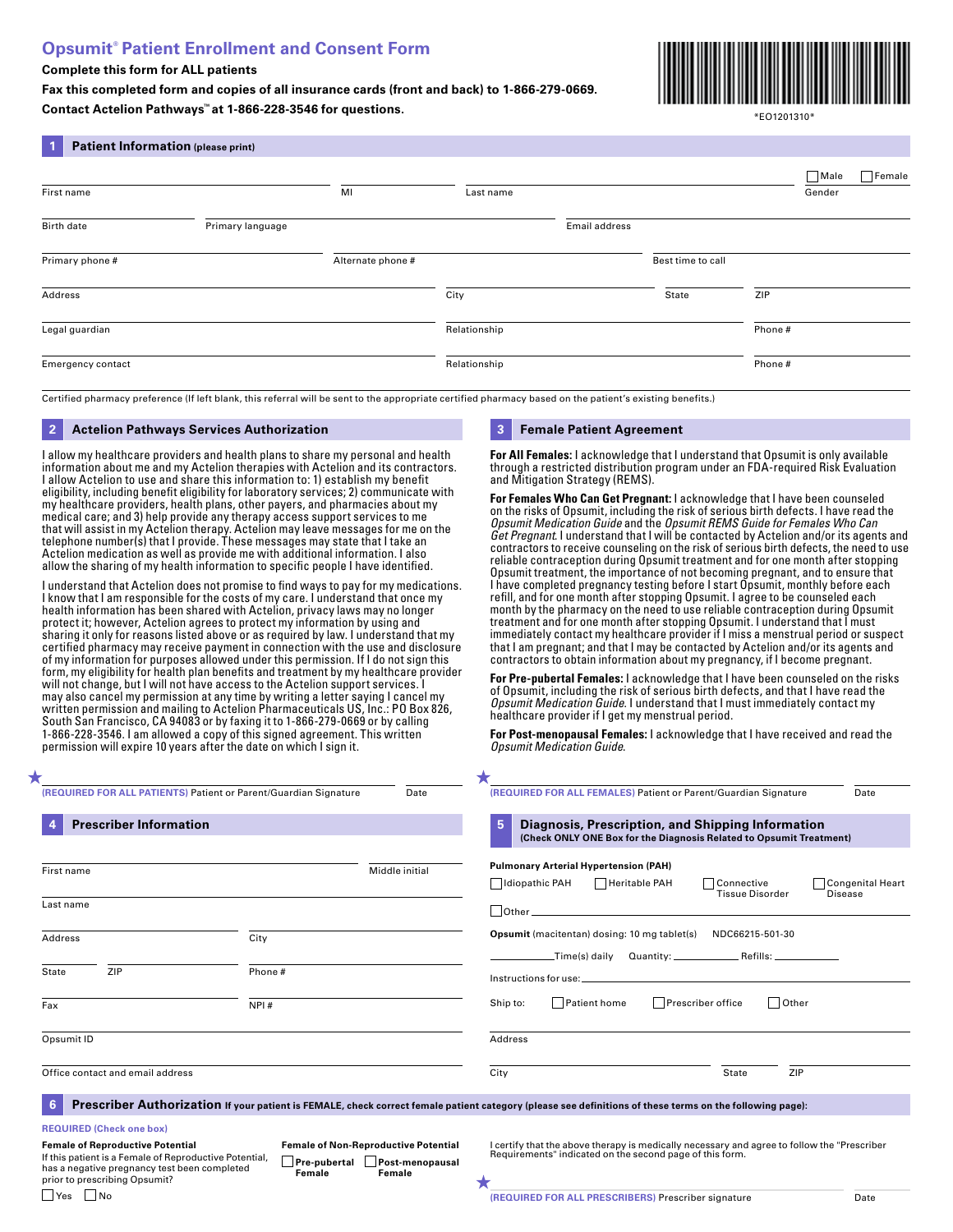# **Opsumit® Patient Enrollment and Consent Form**

# **Complete this form for ALL patients**

**1 Patient Information (please print)**

**Fax this completed form and copies of all insurance cards (front and back) to 1-866-279-0669. Contact Actelion Pathways™ at 1-866-228-3546 for questions.**



\*EO1201310\*

| First name               |                  | MI                | Last name    |               |                   |        | Male<br>Gender | Female |
|--------------------------|------------------|-------------------|--------------|---------------|-------------------|--------|----------------|--------|
| Birth date               | Primary language |                   |              | Email address |                   |        |                |        |
| Primary phone #          |                  | Alternate phone # |              |               | Best time to call |        |                |        |
| Address                  |                  |                   | City         |               | State             | ZIP    |                |        |
| Legal guardian           |                  |                   | Relationship |               |                   | Phone# |                |        |
| <b>Emergency contact</b> |                  |                   | Relationship |               |                   | Phone# |                |        |

# **2 Actelion Pathways Services Authorization 3 Female Patient Agreement**

I allow my healthcare providers and health plans to share my personal and health information about me and my Actelion therapies with Actelion and its contractors. I allow Actelion to use and share this information to: 1) establish my benefit eligibility, including benefit eligibility for laboratory services; 2) communicate with my healthcare providers, health plans, other payers, and pharmacies about my medical care; and 3) help provide any therapy access support services to me that will assist in my Actelion therapy. Actelion may leave messages for me on the telephone number(s) that I provide. These messages may state that I take an Actelion medication as well as provide me with additional information. I also allow the sharing of my health information to specific people I have identified.

I understand that Actelion does not promise to find ways to pay for my medications. I know that I am responsible for the costs of my care. I understand that once my health information has been shared with Actelion, privacy laws may no longer protect it; however, Actelion agrees to protect my information by using and sharing it only for reasons listed above or as required by law. I understand that my certified pharmacy may receive payment in connection with the use and disclosure of my information for purposes allowed under this permission. If I do not sign this form, my eligibility for health plan benefits and treatment by my healthcare provider will not change, but I will not have access to the Actelion support services. I may also cancel my permission at any time by writing a letter saying I cancel my written permission and mailing to Actelion Pharmaceuticals US, Inc.: PO Box 826, South San Francisco, CA 94083 or by faxing it to 1-866-279-0669 or by calling 1-866-228-3546. I am allowed a copy of this signed agreement. This written permission will expire 10 years after the date on which I sign it.

**For All Females:** I acknowledge that I understand that Opsumit is only available through a restricted distribution program under an FDA-required Risk Evaluation and Mitigation Strategy (REMS).

**For Females Who Can Get Pregnant:** I acknowledge that I have been counseled on the risks of Opsumit, including the risk of serious birth defects. I have read the *Opsumit Medication Guide* and the *Opsumit REMS Guide for Females Who Can Get Pregnant*. I understand that I will be contacted by Actelion and/or its agents and contractors to receive counseling on the risk of serious birth defects, the need to use reliable contraception during Opsumit treatment and for one month after stopping Opsumit treatment, the importance of not becoming pregnant, and to ensure that I have completed pregnancy testing before I start Opsumit, monthly before each refill, and for one month after stopping Opsumit. I agree to be counseled each month by the pharmacy on the need to use reliable contraception during Opsumit treatment and for one month after stopping Opsumit. I understand that I must immediately contact my healthcare provider if I miss a menstrual period or suspect that I am pregnant; and that I may be contacted by Actelion and/or its agents and contractors to obtain information about my pregnancy, if I become pregnant.

**For Pre-pubertal Females:** I acknowledge that I have been counseled on the risks of Opsumit, including the risk of serious birth defects, and that I have read the *Opsumit Medication Guide*. I understand that I must immediately contact my healthcare provider if I get my menstrual period.

**For Post-menopausal Females:** I acknowledge that I have received and read the *Opsumit Medication Guide*.

| ★                                                                          |                |                                             |                                                                                                                                                          |
|----------------------------------------------------------------------------|----------------|---------------------------------------------|----------------------------------------------------------------------------------------------------------------------------------------------------------|
| (REQUIRED FOR ALL PATIENTS) Patient or Parent/Guardian Signature           |                | Date                                        | (REQUIRED FOR ALL FEMALES) Patient or Parent/Guardian Signature<br>Date                                                                                  |
| <b>Prescriber Information</b>                                              |                |                                             | 5<br>Diagnosis, Prescription, and Shipping Information<br>(Check ONLY ONE Box for the Diagnosis Related to Opsumit Treatment)                            |
| First name<br>Last name                                                    |                | Middle initial                              | <b>Pulmonary Arterial Hypertension (PAH)</b><br>Idiopathic PAH<br>Heritable PAH<br>Congenital Heart<br>Connective<br>Tissue Disorder<br>Disease          |
| Address                                                                    | City           |                                             | <b>Opsumit</b> (macitentan) dosing: 10 mg tablet(s)<br>NDC66215-501-30                                                                                   |
| ZIP<br>State<br>Fax                                                        | Phone#<br>NPI# |                                             | Patient home<br>Prescriber office<br>$\Box$ Other<br>Ship to:                                                                                            |
| Opsumit ID                                                                 |                |                                             | Address                                                                                                                                                  |
| Office contact and email address                                           |                |                                             | City<br>ZIP<br>State                                                                                                                                     |
| 6                                                                          |                |                                             | Prescriber Authorization If your patient is FEMALE, check correct female patient category (please see definitions of these terms on the following page): |
| <b>REQUIRED (Check one box)</b><br><b>Female of Reproductive Potential</b> |                | <b>Female of Non-Reproductive Potential</b> | I certify that the above therapy is medically necessary and agree to follow the "Prescriber"                                                             |

If this patient is a Female of Reproductive Potential, has a negative pregnancy test been completed prior to prescribing Opsumit?

 $\Box$  Yes  $\Box$  No

**Pre-pubertal Post-menopausal Female Female**

**Female of Non-Reproductive Potential** I certify that the above therapy is medically necessary and agree to follow the "Prescriber Requirements" indicated on the second page of this form.